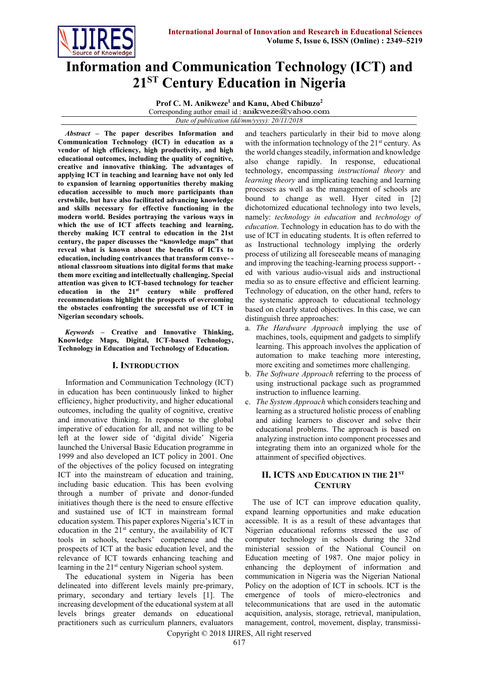

# **Information and Communication Technology (ICT) and 21ST Century Education in Nigeria**

**Prof C. M. Anikweze<sup>1</sup> and Kanu, Abed Chibuzo<sup>2</sup>** Corresponding author email id : anikweze@yahoo.com *Date of publication (dd/mm/yyyy): 20/11/2018*

*Abstract* **– The paper describes Information and Communication Technology (ICT) in education as a vendor of high efficiency, high productivity, and high educational outcomes, including the quality of cognitive, creative and innovative thinking. The advantages of applying ICT in teaching and learning have not only led to expansion of learning opportunities thereby making education accessible to much more participants than erstwhile, but have also facilitated advancing knowledge and skills necessary for effective functioning in the modern world. Besides portraying the various ways in which the use of ICT affects teaching and learning, thereby making ICT central to education in the 21st century, the paper discusses the "knowledge maps" that reveal what is known about the benefits of ICTs to education, including contrivances that transform conve- ntional classroom situations into digital forms that make them more exciting and intellectually challenging. Special attention was given to ICT-based technology for teacher education in the 21st century while proffered recommendations highlight the prospects of overcoming the obstacles confronting the successful use of ICT in Nigerian secondary schools.** 

*Keywords* **– Creative and Innovative Thinking, Knowledge Maps, Digital, ICT-based Technology, Technology in Education and Technology of Education.** 

## **I. INTRODUCTION**

Information and Communication Technology (ICT) in education has been continuously linked to higher efficiency, higher productivity, and higher educational outcomes, including the quality of cognitive, creative and innovative thinking. In response to the global imperative of education for all, and not willing to be left at the lower side of 'digital divide' Nigeria launched the Universal Basic Education programme in 1999 and also developed an ICT policy in 2001. One of the objectives of the policy focused on integrating ICT into the mainstream of education and training, including basic education. This has been evolving through a number of private and donor-funded initiatives though there is the need to ensure effective and sustained use of ICT in mainstream formal education system. This paper explores Nigeria's ICT in education in the  $21<sup>st</sup>$  century, the availability of ICT tools in schools, teachers' competence and the prospects of ICT at the basic education level, and the relevance of ICT towards enhancing teaching and learning in the 21<sup>st</sup> century Nigerian school system.

The educational system in Nigeria has been delineated into different levels mainly pre-primary, primary, secondary and tertiary levels [1]. The increasing development of the educational system at all levels brings greater demands on educational practitioners such as curriculum planners, evaluators

and teachers particularly in their bid to move along with the information technology of the 21<sup>st</sup> century. As the world changes steadily, information and knowledge also change rapidly. In response, educational technology, encompassing *[instructional theory](http://en.wikipedia.org/wiki/Instructional_theory)* and *[learning theory](http://en.wikipedia.org/wiki/Learning_theory_(education))* and implicating teaching and learning processes as well as the management of schools are bound to change as well. Hyer cited in [2] dichotomized educational technology into two levels, namely: *technology in education* and *technology of education*. Technology in education has to do with the use of ICT in educating students. It is often referred to as Instructional technology implying the orderly process of utilizing all foreseeable means of managing and improving the teaching-learning process support- ed with various audio-visual aids and instructional media so as to ensure effective and efficient learning. Technology of education, on the other hand, refers to the systematic approach to educational technology based on clearly stated objectives. In this case, we can distinguish three approaches:

- a. *The Hardware Approach* implying the use of machines, tools, equipment and gadgets to simplify learning. This approach involves the application of automation to make teaching more interesting, more exciting and sometimes more challenging.
- b. *The Software Approach* referring to the process of using instructional package such as programmed instruction to influence learning.
- c. *The System Approach* which considers teaching and learning as a structured holistic process of enabling and aiding learners to discover and solve their educational problems. The approach is based on analyzing instruction into component processes and integrating them into an organized whole for the attainment of specified objectives.

## **II. ICTS AND EDUCATION IN THE 21ST CENTURY**

The use of ICT can improve education quality, expand learning opportunities and make education accessible. It is as a result of these advantages that Nigerian educational reforms stressed the use of computer technology in schools during the 32nd ministerial session of the National Council on Education meeting of 1987. One major policy in enhancing the deployment of information and communication in Nigeria was the Nigerian National Policy on the adoption of ICT in schools. ICT is the emergence of tools of micro-electronics and telecommunications that are used in the automatic acquisition, analysis, storage, retrieval, manipulation, management, control, movement, display, transmissi-

Copyright © 2018 IJIRES, All right reserved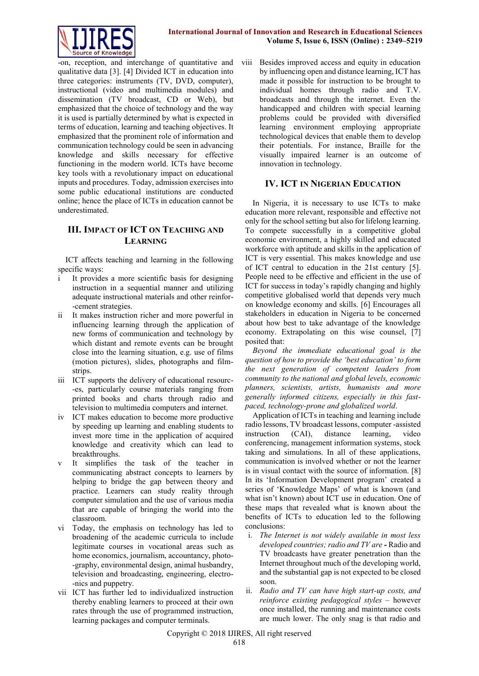

-on, reception, and interchange of quantitative and qualitative data [3]. [4] Divided ICT in education into three categories: instruments (TV, DVD, computer), instructional (video and multimedia modules) and dissemination (TV broadcast, CD or Web), but emphasized that the choice of technology and the way it is used is partially determined by what is expected in terms of education, learning and teaching objectives. It emphasized that the prominent role of information and communication technology could be seen in advancing knowledge and skills necessary for effective functioning in the modern world. ICTs have become key tools with a revolutionary impact on educational inputs and procedures. Today, admission exercises into some public educational institutions are conducted online; hence the place of ICTs in education cannot be underestimated.

# **III. IMPACT OF ICT ON TEACHING AND LEARNING**

ICT affects teaching and learning in the following specific ways:

- i It provides a more scientific basis for designing instruction in a sequential manner and utilizing adequate instructional materials and other reinfor- -cement strategies.
- ii It makes instruction richer and more powerful in influencing learning through the application of new forms of communication and technology by which distant and remote events can be brought close into the learning situation, e.g. use of films (motion pictures), slides, photographs and filmstrips.
- iii ICT supports the delivery of educational resourc- -es, particularly course materials ranging from printed books and charts through radio and television to multimedia computers and internet.
- iv ICT makes education to become more productive by speeding up learning and enabling students to invest more time in the application of acquired knowledge and creativity which can lead to breakthroughs.
- It simplifies the task of the teacher in communicating abstract concepts to learners by helping to bridge the gap between theory and practice. Learners can study reality through computer simulation and the use of various media that are capable of bringing the world into the classroom.
- vi Today, the emphasis on technology has led to broadening of the academic curricula to include legitimate courses in vocational areas such as home economics, journalism, accountancy, photo- -graphy, environmental design, animal husbandry, television and broadcasting, engineering, electro- -nics and puppetry.
- vii ICT has further led to individualized instruction thereby enabling learners to proceed at their own rates through the use of programmed instruction, learning packages and computer terminals.

viii Besides improved access and equity in education by influencing open and distance learning, ICT has made it possible for instruction to be brought to individual homes through radio and T.V. broadcasts and through the internet. Even the handicapped and children with special learning problems could be provided with diversified learning environment employing appropriate technological devices that enable them to develop their potentials. For instance, Braille for the visually impaired learner is an outcome of innovation in technology.

## **IV. ICT IN NIGERIAN EDUCATION**

In Nigeria, it is necessary to use ICTs to make education more relevant, responsible and effective not only for the school setting but also for lifelong learning. To compete successfully in a competitive global economic environment, a highly skilled and educated workforce with aptitude and skills in the application of ICT is very essential. This makes knowledge and use of ICT central to education in the 21st century [5]. People need to be effective and efficient in the use of ICT for success in today's rapidly changing and highly competitive globalised world that depends very much on knowledge economy and skills. [6] Encourages all stakeholders in education in Nigeria to be concerned about how best to take advantage of the knowledge economy. Extrapolating on this wise counsel, [7] posited that:

*Beyond the immediate educational goal is the question of how to provide the 'best education' to form the next generation of competent leaders from community to the national and global levels, economic planners, scientists, artists, humanists and more generally informed citizens, especially in this fastpaced, technology-prone and globalized world*.

Application of ICTs in teaching and learning include radio lessons, TV broadcast lessons, computer -assisted instruction (CAI), distance learning, video conferencing, management information systems, stock taking and simulations. In all of these applications, communication is involved whether or not the learner is in visual contact with the source of information. [8] In its 'Information Development program' created a series of 'Knowledge Maps' of what is known (and what isn't known) about ICT use in education. One of these maps that revealed what is known about the benefits of ICTs to education led to the following conclusions:

- i. *The Internet is not widely available in most less developed countries; radio and TV are -* Radio and TV broadcasts have greater penetration than the Internet throughout much of the developing world, and the substantial gap is not expected to be closed soon.
- ii. *Radio and TV can have high start-up costs, and reinforce existing pedagogical styles* – however once installed, the running and maintenance costs are much lower. The only snag is that radio and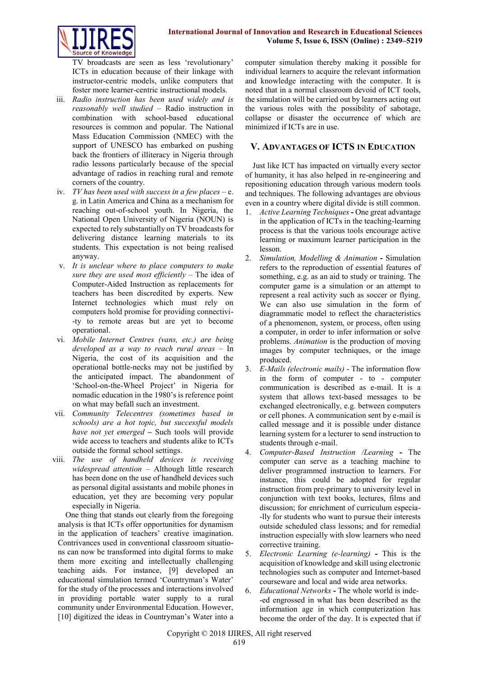



TV broadcasts are seen as less 'revolutionary' ICTs in education because of their linkage with instructor-centric models, unlike computers that foster more learner-centric instructional models.

- iii. *Radio instruction has been used widely and is reasonably well studied –* Radio instruction in combination with school-based educational resources is common and popular. The National Mass Education Commission (NMEC) with the support of UNESCO has embarked on pushing back the frontiers of illiteracy in Nigeria through radio lessons particularly because of the special advantage of radios in reaching rural and remote corners of the country.
- iv. *TV has been used with success in a few places –* e. g. in Latin America and China as a mechanism for reaching out-of-school youth. In Nigeria, the National Open University of Nigeria (NOUN) is expected to rely substantially on TV broadcasts for delivering distance learning materials to its students. This expectation is not being realised anyway.
- v. *It is unclear where to place computers to make sure they are used most efficiently –* The idea of Computer-Aided Instruction as replacements for teachers has been discredited by experts. New Internet technologies which must rely on computers hold promise for providing connectivi- -ty to remote areas but are yet to become operational.
- vi. *Mobile Internet Centres (vans, etc.) are being developed as a way to reach rural areas –* In Nigeria, the cost of its acquisition and the operational bottle-necks may not be justified by the anticipated impact. The abandonment of 'School-on-the-Wheel Project' in Nigeria for nomadic education in the 1980's is reference point on what may befall such an investment.
- vii. *Community Telecentres (sometimes based in schools) are a hot topic, but successful models have not yet emerged –* Such tools will provide wide access to teachers and students alike to ICTs outside the formal school settings.
- viii. *The use of handheld devices is receiving widespread attention –* Although little research has been done on the use of handheld devices such as personal digital assistants and mobile phones in education, yet they are becoming very popular especially in Nigeria.

One thing that stands out clearly from the foregoing analysis is that ICTs offer opportunities for dynamism in the application of teachers' creative imagination. Contrivances used in conventional classroom situations can now be transformed into digital forms to make them more exciting and intellectually challenging teaching aids. For instance, [9] developed an educational simulation termed 'Countryman's Water' for the study of the processes and interactions involved in providing portable water supply to a rural community under Environmental Education. However, [10] digitized the ideas in Countryman's Water into a

computer simulation thereby making it possible for individual learners to acquire the relevant information and knowledge interacting with the computer. It is noted that in a normal classroom devoid of ICT tools, the simulation will be carried out by learners acting out the various roles with the possibility of sabotage, collapse or disaster the occurrence of which are minimized if ICTs are in use.

## **V. ADVANTAGES OF ICTS IN EDUCATION**

Just like ICT has impacted on virtually every sector of humanity, it has also helped in re-engineering and repositioning education through various modern tools and techniques. The following advantages are obvious even in a country where digital divide is still common.

- 1. *Active Learning Techniques* **-** One great advantage in the application of ICTs in the teaching-learning process is that the various tools encourage active learning or maximum learner participation in the lesson.
- 2. *Simulation, Modelling & Animation* **-** Simulation refers to the reproduction of essential features of something, e.g. as an aid to study or training. The computer game is a simulation or an attempt to represent a real activity such as soccer or flying. We can also use simulation in the form of diagrammatic model to reflect the characteristics of a phenomenon, system, or process, often using a computer, in order to infer information or solve problems. *Animation* is the production of moving images by computer techniques, or the image produced.
- 3. *E-Mails (electronic mails)* The information flow in the form of computer - to - computer communication is described as e-mail. It is a system that allows text-based messages to be exchanged electronically, e.g. between computers or cell phones. A communication sent by e-mail is called message and it is possible under distance learning system for a lecturer to send instruction to students through e-mail.
- 4. *Computer-Based Instruction /Learning* **-** The computer can serve as a teaching machine to deliver programmed instruction to learners. For instance, this could be adopted for regular instruction from pre-primary to university level in conjunction with text books, lectures, films and discussion; for enrichment of curriculum especia- -lly for students who want to pursue their interests outside scheduled class lessons; and for remedial instruction especially with slow learners who need corrective training.
- 5. *Electronic Learning (e-learning)* **-** This is the acquisition of knowledge and skill using electronic technologies such as computer and Internet-based courseware and local and wide area networks.
- 6. *Educational Networks* **-** The whole world is inde- -ed engrossed in what has been described as the information age in which computerization has become the order of the day. It is expected that if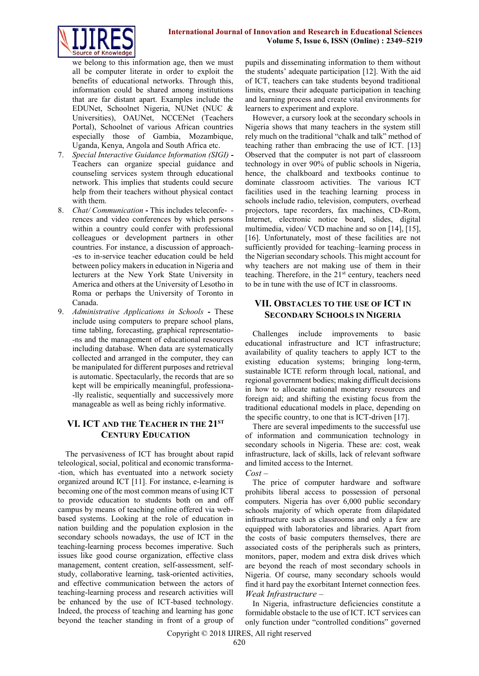

we belong to this information age, then we must all be computer literate in order to exploit the benefits of educational networks. Through this, information could be shared among institutions that are far distant apart. Examples include the EDUNet, Schoolnet Nigeria, NUNet (NUC & Universities), OAUNet, NCCENet (Teachers Portal), Schoolnet of various African countries especially those of Gambia, Mozambique, Uganda, Kenya, Angola and South Africa etc.

- 7. *Special Interactive Guidance Information (SIGI)* **-** Teachers can organize special guidance and counseling services system through educational network. This implies that students could secure help from their teachers without physical contact with them.
- 8. *Chat/ Communication* **-** This includes teleconfe- rences and video conferences by which persons within a country could confer with professional colleagues or development partners in other countries. For instance, a discussion of approach- -es to in-service teacher education could be held between policy makers in education in Nigeria and lecturers at the New York State University in America and others at the University of Lesotho in Roma or perhaps the University of Toronto in Canada.
- 9. *Administrative Applications in Schools* **-** These include using computers to prepare school plans, time tabling, forecasting, graphical representatio- -ns and the management of educational resources including database. When data are systematically collected and arranged in the computer, they can be manipulated for different purposes and retrieval is automatic. Spectacularly, the records that are so kept will be empirically meaningful, professiona- -lly realistic, sequentially and successively more manageable as well as being richly informative.

# **VI. ICT AND THE TEACHER IN THE 21ST CENTURY EDUCATION**

The pervasiveness of ICT has brought about rapid teleological, social, political and economic transforma- -tion, which has eventuated into a network society organized around ICT [11]. For instance, e-learning is becoming one of the most common means of using ICT to provide education to students both on and off campus by means of teaching online offered via webbased systems. Looking at the role of education in nation building and the population explosion in the secondary schools nowadays, the use of ICT in the teaching-learning process becomes imperative. Such issues like good course organization, effective class management, content creation, self-assessment, selfstudy, collaborative learning, task-oriented activities, and effective communication between the actors of teaching-learning process and research activities will be enhanced by the use of ICT-based technology. Indeed, the process of teaching and learning has gone beyond the teacher standing in front of a group of

pupils and disseminating information to them without the students' adequate participation [12]. With the aid of ICT, teachers can take students beyond traditional limits, ensure their adequate participation in teaching and learning process and create vital environments for learners to experiment and explore.

However, a cursory look at the secondary schools in Nigeria shows that many teachers in the system still rely much on the traditional "chalk and talk" method of teaching rather than embracing the use of ICT. [13] Observed that the computer is not part of classroom technology in over 90% of public schools in Nigeria, hence, the chalkboard and textbooks continue to dominate classroom activities. The various ICT facilities used in the teaching learning process in schools include radio, television, computers, overhead projectors, tape recorders, fax machines, CD-Rom, Internet, electronic notice board, slides, digital multimedia, video/ VCD machine and so on [14], [15], [16]. Unfortunately, most of these facilities are not sufficiently provided for teaching–learning process in the Nigerian secondary schools. This might account for why teachers are not making use of them in their teaching. Therefore, in the 21<sup>st</sup> century, teachers need to be in tune with the use of ICT in classrooms.

# **VII. OBSTACLES TO THE USE OF ICT IN SECONDARY SCHOOLS IN NIGERIA**

Challenges include improvements to basic educational infrastructure and ICT infrastructure; availability of quality teachers to apply ICT to the existing education systems; bringing long-term, sustainable ICTE reform through local, national, and regional government bodies; making difficult decisions in how to allocate national monetary resources and foreign aid; and shifting the existing focus from the traditional educational models in place, depending on the specific country, to one that is ICT-driven [17].

There are several impediments to the successful use of information and communication technology in secondary schools in Nigeria. These are: cost, weak infrastructure, lack of skills, lack of relevant software and limited access to the Internet.

*Cost –*

The price of computer hardware and software prohibits liberal access to possession of personal computers. Nigeria has over 6,000 public secondary schools majority of which operate from dilapidated infrastructure such as classrooms and only a few are equipped with laboratories and libraries. Apart from the costs of basic computers themselves, there are associated costs of the peripherals such as printers, monitors, paper, modem and extra disk drives which are beyond the reach of most secondary schools in Nigeria. Of course, many secondary schools would find it hard pay the exorbitant Internet connection fees. *Weak Infrastructure –*

In Nigeria, infrastructure deficiencies constitute a formidable obstacle to the use of ICT. ICT services can only function under "controlled conditions" governed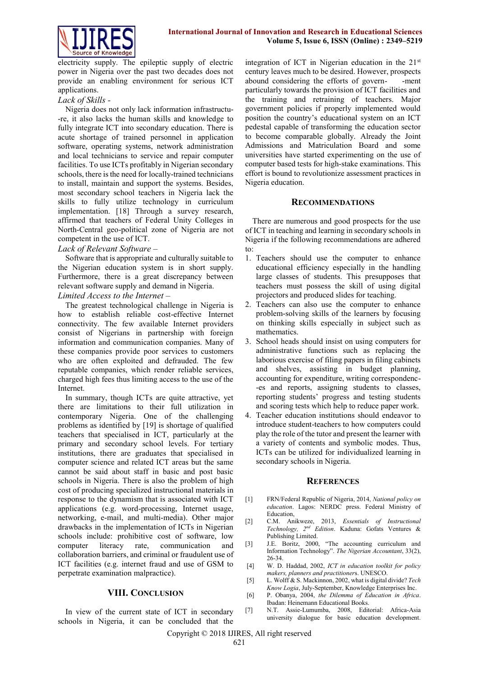

electricity supply. The epileptic supply of electric power in Nigeria over the past two decades does not provide an enabling environment for serious ICT applications.

#### *Lack of Skills -*

Nigeria does not only lack information infrastructu- -re, it also lacks the human skills and knowledge to fully integrate ICT into secondary education. There is acute shortage of trained personnel in application software, operating systems, network administration and local technicians to service and repair computer facilities. To use ICTs profitably in Nigerian secondary schools, there is the need for locally-trained technicians to install, maintain and support the systems. Besides, most secondary school teachers in Nigeria lack the skills to fully utilize technology in curriculum implementation. [18] Through a survey research, affirmed that teachers of Federal Unity Colleges in North-Central geo-political zone of Nigeria are not competent in the use of ICT.

#### *Lack of Relevant Software –*

Software that is appropriate and culturally suitable to the Nigerian education system is in short supply. Furthermore, there is a great discrepancy between relevant software supply and demand in Nigeria.

*Limited Access to the Internet –*

The greatest technological challenge in Nigeria is how to establish reliable cost-effective Internet connectivity. The few available Internet providers consist of Nigerians in partnership with foreign information and communication companies. Many of these companies provide poor services to customers who are often exploited and defrauded. The few reputable companies, which render reliable services, charged high fees thus limiting access to the use of the Internet.

In summary, though ICTs are quite attractive, yet there are limitations to their full utilization in contemporary Nigeria. One of the challenging problems as identified by [19] is shortage of qualified teachers that specialised in ICT, particularly at the primary and secondary school levels. For tertiary institutions, there are graduates that specialised in computer science and related ICT areas but the same cannot be said about staff in basic and post basic schools in Nigeria. There is also the problem of high cost of producing specialized instructional materials in response to the dynamism that is associated with ICT applications (e.g. word-processing, Internet usage, networking, e-mail, and multi-media). Other major drawbacks in the implementation of ICTs in Nigerian schools include: prohibitive cost of software, low computer literacy rate, communication and collaboration barriers, and criminal or fraudulent use of ICT facilities (e.g. internet fraud and use of GSM to perpetrate examination malpractice).

#### **VIII. CONCLUSION**

In view of the current state of ICT in secondary schools in Nigeria, it can be concluded that the

integration of ICT in Nigerian education in the 21<sup>st</sup> century leaves much to be desired. However, prospects abound considering the efforts of govern- -ment particularly towards the provision of ICT facilities and the training and retraining of teachers. Major government policies if properly implemented would position the country's educational system on an ICT pedestal capable of transforming the education sector to become comparable globally. Already the Joint Admissions and Matriculation Board and some universities have started experimenting on the use of computer based tests for high-stake examinations. This effort is bound to revolutionize assessment practices in Nigeria education.

#### **RECOMMENDATIONS**

There are numerous and good prospects for the use of ICT in teaching and learning in secondary schools in Nigeria if the following recommendations are adhered to:

- 1. Teachers should use the computer to enhance educational efficiency especially in the handling large classes of students. This presupposes that teachers must possess the skill of using digital projectors and produced slides for teaching.
- 2. Teachers can also use the computer to enhance problem-solving skills of the learners by focusing on thinking skills especially in subject such as mathematics.
- 3. School heads should insist on using computers for administrative functions such as replacing the laborious exercise of filing papers in filing cabinets and shelves, assisting in budget planning, accounting for expenditure, writing correspondenc- -es and reports, assigning students to classes, reporting students' progress and testing students and scoring tests which help to reduce paper work.
- 4. Teacher education institutions should endeavor to introduce student-teachers to how computers could play the role of the tutor and present the learner with a variety of contents and symbolic modes. Thus, ICTs can be utilized for individualized learning in secondary schools in Nigeria.

#### **REFERENCES**

- [1] FRN/Federal Republic of Nigeria, 2014, *National policy on education*. Lagos: NERDC press. Federal Ministry of Education,
- [2] C.M. Anikweze, 2013, *Essentials of Instructional Technology, 2nd Edition*. Kaduna: Gofats Ventures & Publishing Limited.
- [3] J.E. Boritz, 2000, "The accounting curriculum and Information Technology". *The Nigerian Accountant*, 33(2), 26-34.
- [4] W. D. Haddad, 2002, *ICT in education toolkit for policy makers, planners and practitioner*s. UNESCO.
- [5] L. Wolff & S. Mackinnon, 2002, what is digital divide? *Tech Know Logia*, July-September, Knowledge Enterprises Inc.
- [6] P. Obanya, 2004, *the Dilemma of Education in Africa*. Ibadan: Heinemann Educational Books.
- [7] N.T. Assie-Lumumba, 2008, Editorial: Africa-Asia university dialogue for basic education development.